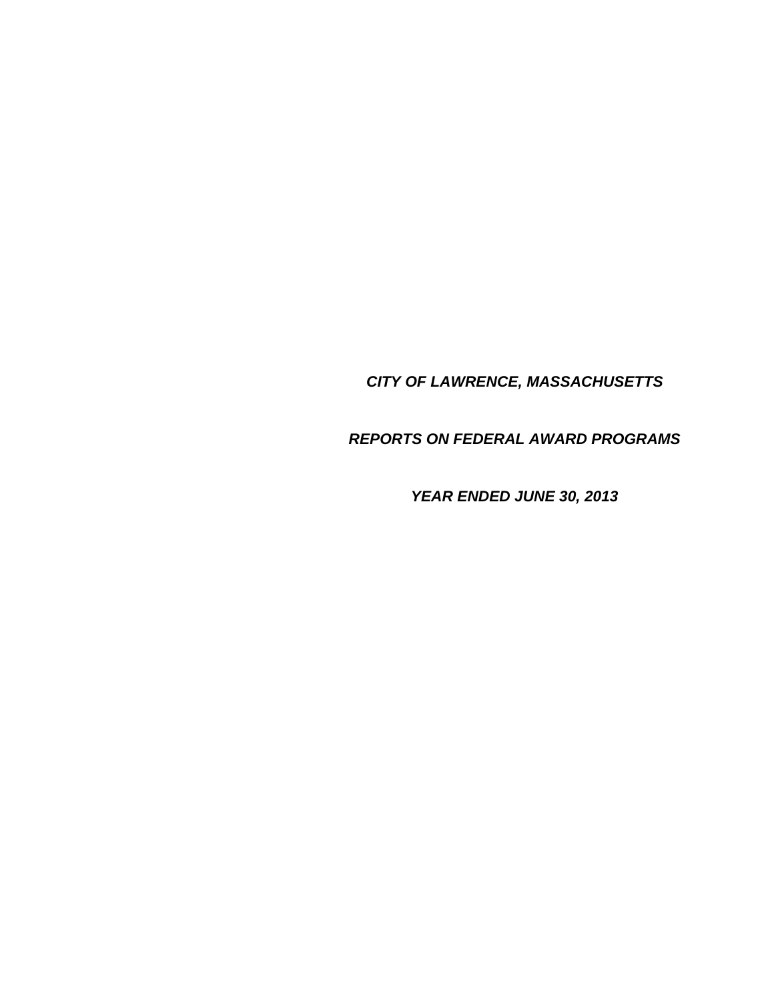*CITY OF LAWRENCE, MASSACHUSETTS* 

*REPORTS ON FEDERAL AWARD PROGRAMS* 

*YEAR ENDED JUNE 30, 2013*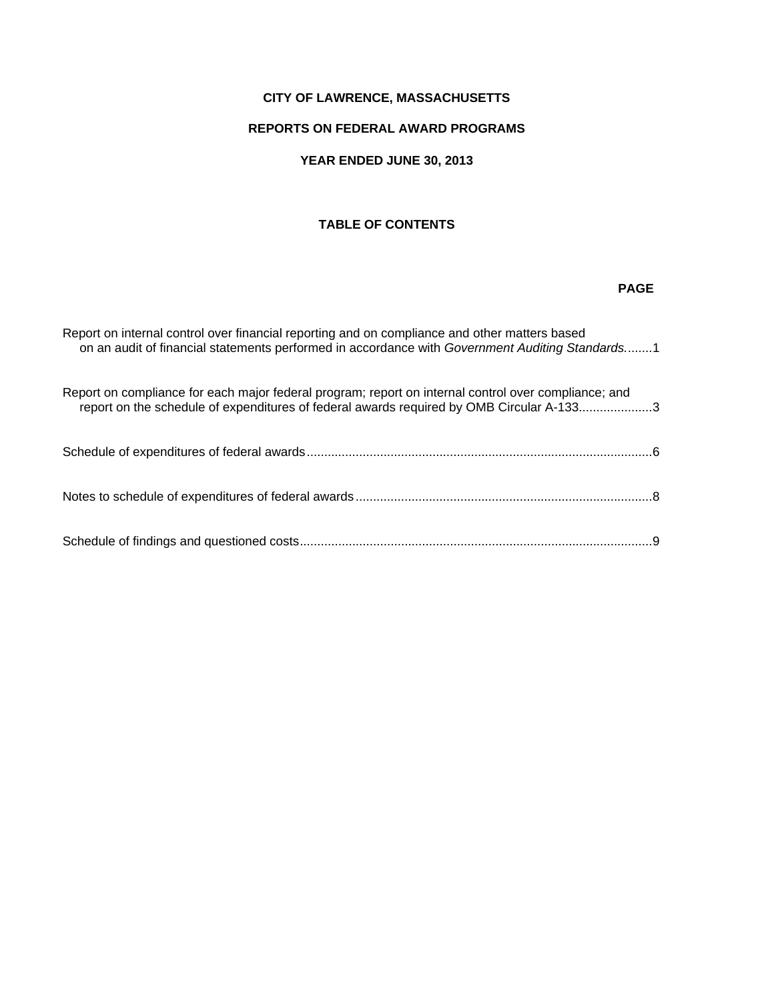## **CITY OF LAWRENCE, MASSACHUSETTS**

## **REPORTS ON FEDERAL AWARD PROGRAMS**

## **YEAR ENDED JUNE 30, 2013**

## **TABLE OF CONTENTS**

#### *PAGE AND RESERVE AT A PAGE AND RESERVE AT A PAGE AND RESERVE AT A PAGE AND RESERVE AT A PAGE AND RESERVE*

| Report on internal control over financial reporting and on compliance and other matters based<br>on an audit of financial statements performed in accordance with Government Auditing Standards1 |  |
|--------------------------------------------------------------------------------------------------------------------------------------------------------------------------------------------------|--|
| Report on compliance for each major federal program; report on internal control over compliance; and<br>report on the schedule of expenditures of federal awards required by OMB Circular A-1333 |  |
|                                                                                                                                                                                                  |  |
|                                                                                                                                                                                                  |  |
|                                                                                                                                                                                                  |  |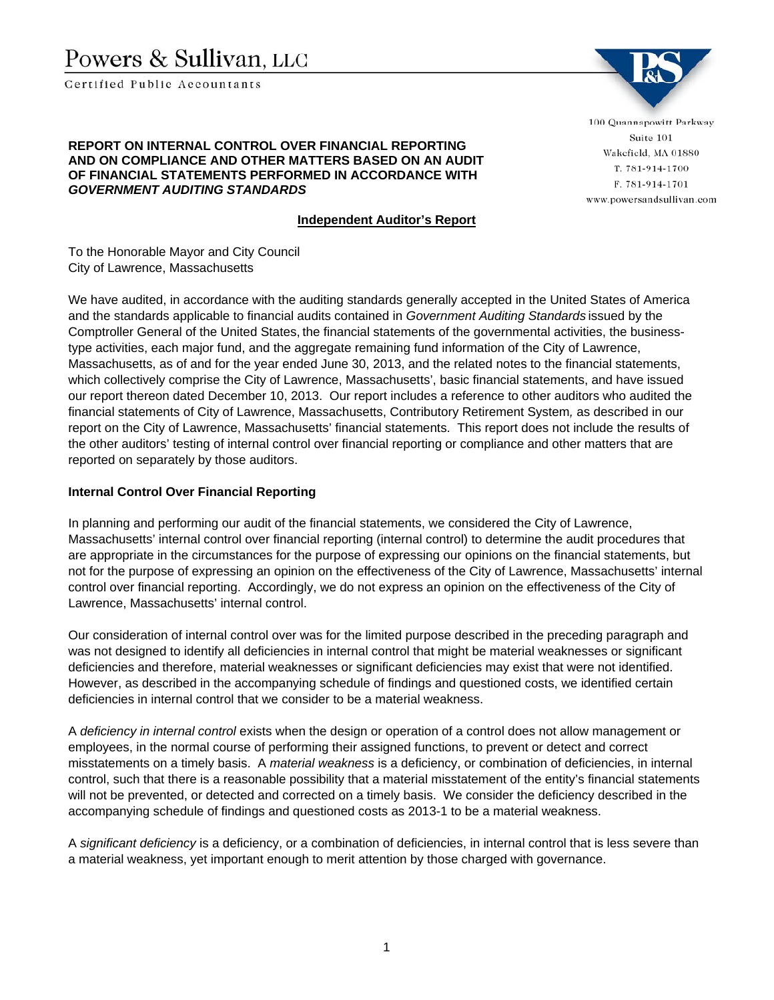# Powers & Sullivan, LLC

Certified Public Accountants



**REPORT ON INTERNAL CONTROL OVER FINANCIAL REPORTING AND ON COMPLIANCE AND OTHER MATTERS BASED ON AN AUDIT OF FINANCIAL STATEMENTS PERFORMED IN ACCORDANCE WITH**  *GOVERNMENT AUDITING STANDARDS* 

#### **Independent Auditor's Report**

**Report on internal control over financial reporting and on compliance and other matters based on an audit of financial statements performed in accordance with** *Government Auditing Standards.* Wakefield, MA 01880 T. 781-914-1700 F. 781-914-1701 www.powersandsullivan.com

To the Honorable Mayor and City Council City of Lawrence, Massachusetts

We have audited, in accordance with the auditing standards generally accepted in the United States of America and the standards applicable to financial audits contained in *Government Auditing Standards* issued by the Comptroller General of the United States, the financial statements of the governmental activities, the businesstype activities, each major fund, and the aggregate remaining fund information of the City of Lawrence, Massachusetts, as of and for the year ended June 30, 2013, and the related notes to the financial statements, which collectively comprise the City of Lawrence, Massachusetts', basic financial statements, and have issued our report thereon dated December 10, 2013. Our report includes a reference to other auditors who audited the financial statements of City of Lawrence, Massachusetts, Contributory Retirement System*,* as described in our report on the City of Lawrence, Massachusetts' financial statements. This report does not include the results of the other auditors' testing of internal control over financial reporting or compliance and other matters that are reported on separately by those auditors.

#### **Internal Control Over Financial Reporting**

In planning and performing our audit of the financial statements, we considered the City of Lawrence, Massachusetts' internal control over financial reporting (internal control) to determine the audit procedures that are appropriate in the circumstances for the purpose of expressing our opinions on the financial statements, but not for the purpose of expressing an opinion on the effectiveness of the City of Lawrence, Massachusetts' internal control over financial reporting. Accordingly, we do not express an opinion on the effectiveness of the City of Lawrence, Massachusetts' internal control.

Our consideration of internal control over was for the limited purpose described in the preceding paragraph and was not designed to identify all deficiencies in internal control that might be material weaknesses or significant deficiencies and therefore, material weaknesses or significant deficiencies may exist that were not identified. However, as described in the accompanying schedule of findings and questioned costs, we identified certain deficiencies in internal control that we consider to be a material weakness.

A *deficiency in internal control* exists when the design or operation of a control does not allow management or employees, in the normal course of performing their assigned functions, to prevent or detect and correct misstatements on a timely basis. A *material weakness* is a deficiency, or combination of deficiencies, in internal control, such that there is a reasonable possibility that a material misstatement of the entity's financial statements will not be prevented, or detected and corrected on a timely basis. We consider the deficiency described in the accompanying schedule of findings and questioned costs as 2013-1 to be a material weakness.

A *significant deficiency* is a deficiency, or a combination of deficiencies, in internal control that is less severe than a material weakness, yet important enough to merit attention by those charged with governance.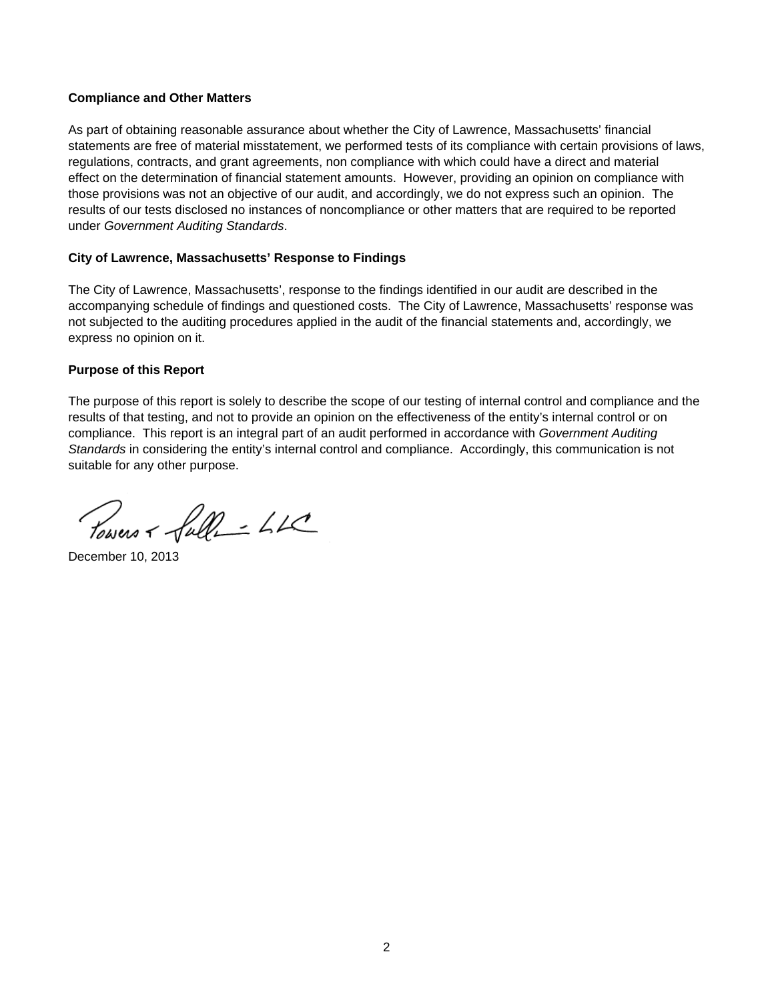#### **Compliance and Other Matters**

As part of obtaining reasonable assurance about whether the City of Lawrence, Massachusetts' financial statements are free of material misstatement, we performed tests of its compliance with certain provisions of laws, regulations, contracts, and grant agreements, non compliance with which could have a direct and material effect on the determination of financial statement amounts. However, providing an opinion on compliance with those provisions was not an objective of our audit, and accordingly, we do not express such an opinion. The results of our tests disclosed no instances of noncompliance or other matters that are required to be reported under *Government Auditing Standards*.

#### **City of Lawrence, Massachusetts' Response to Findings**

The City of Lawrence, Massachusetts', response to the findings identified in our audit are described in the accompanying schedule of findings and questioned costs. The City of Lawrence, Massachusetts' response was not subjected to the auditing procedures applied in the audit of the financial statements and, accordingly, we express no opinion on it.

#### **Purpose of this Report**

The purpose of this report is solely to describe the scope of our testing of internal control and compliance and the results of that testing, and not to provide an opinion on the effectiveness of the entity's internal control or on compliance. This report is an integral part of an audit performed in accordance with *Government Auditing Standards* in considering the entity's internal control and compliance. Accordingly, this communication is not suitable for any other purpose.

Towers + full- LL

December 10, 2013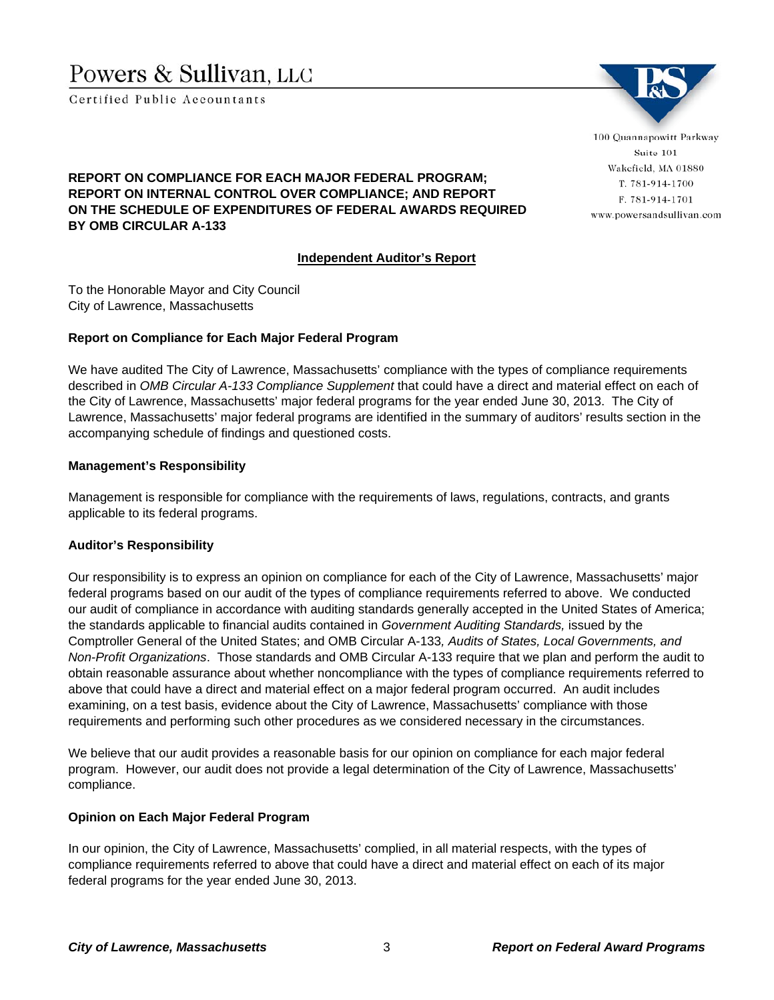# Powers & Sullivan, LLC

Certified Public Accountants



**Report on compliance for each major federal program; report on internal control over compliance; and**  T. 781-914-1700 F. 781-914-1701 www.powersandsullivan.com

## **REPORT ON COMPLIANCE FOR EACH MAJOR FEDERAL PROGRAM; REPORT ON INTERNAL CONTROL OVER COMPLIANCE; AND REPORT ON THE SCHEDULE OF EXPENDITURES OF FEDERAL AWARDS REQUIRED BY OMB CIRCULAR A-133**

#### **Independent Auditor's Report**

To the Honorable Mayor and City Council City of Lawrence, Massachusetts

#### **Report on Compliance for Each Major Federal Program**

We have audited The City of Lawrence, Massachusetts' compliance with the types of compliance requirements described in *OMB Circular A-133 Compliance Supplement* that could have a direct and material effect on each of the City of Lawrence, Massachusetts' major federal programs for the year ended June 30, 2013. The City of Lawrence, Massachusetts' major federal programs are identified in the summary of auditors' results section in the accompanying schedule of findings and questioned costs.

#### **Management's Responsibility**

Management is responsible for compliance with the requirements of laws, regulations, contracts, and grants applicable to its federal programs.

#### **Auditor's Responsibility**

Our responsibility is to express an opinion on compliance for each of the City of Lawrence, Massachusetts' major federal programs based on our audit of the types of compliance requirements referred to above. We conducted our audit of compliance in accordance with auditing standards generally accepted in the United States of America; the standards applicable to financial audits contained in *Government Auditing Standards,* issued by the Comptroller General of the United States; and OMB Circular A-133*, Audits of States, Local Governments, and Non-Profit Organizations*. Those standards and OMB Circular A-133 require that we plan and perform the audit to obtain reasonable assurance about whether noncompliance with the types of compliance requirements referred to above that could have a direct and material effect on a major federal program occurred. An audit includes examining, on a test basis, evidence about the City of Lawrence, Massachusetts' compliance with those requirements and performing such other procedures as we considered necessary in the circumstances.

We believe that our audit provides a reasonable basis for our opinion on compliance for each major federal program. However, our audit does not provide a legal determination of the City of Lawrence, Massachusetts' compliance.

#### **Opinion on Each Major Federal Program**

In our opinion, the City of Lawrence, Massachusetts' complied, in all material respects, with the types of compliance requirements referred to above that could have a direct and material effect on each of its major federal programs for the year ended June 30, 2013.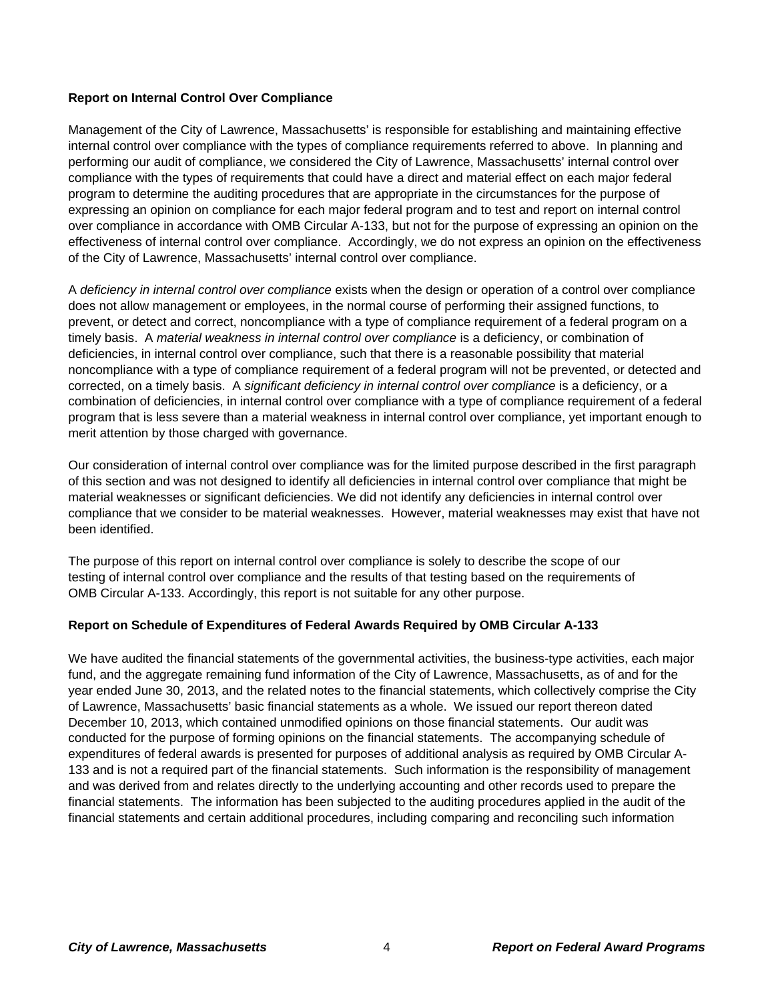#### **Report on Internal Control Over Compliance**

Management of the City of Lawrence, Massachusetts' is responsible for establishing and maintaining effective internal control over compliance with the types of compliance requirements referred to above. In planning and performing our audit of compliance, we considered the City of Lawrence, Massachusetts' internal control over compliance with the types of requirements that could have a direct and material effect on each major federal program to determine the auditing procedures that are appropriate in the circumstances for the purpose of expressing an opinion on compliance for each major federal program and to test and report on internal control over compliance in accordance with OMB Circular A-133, but not for the purpose of expressing an opinion on the effectiveness of internal control over compliance. Accordingly, we do not express an opinion on the effectiveness of the City of Lawrence, Massachusetts' internal control over compliance.

A *deficiency in internal control over compliance* exists when the design or operation of a control over compliance does not allow management or employees, in the normal course of performing their assigned functions, to prevent, or detect and correct, noncompliance with a type of compliance requirement of a federal program on a timely basis. A *material weakness in internal control over compliance* is a deficiency, or combination of deficiencies, in internal control over compliance, such that there is a reasonable possibility that material noncompliance with a type of compliance requirement of a federal program will not be prevented, or detected and corrected, on a timely basis. A *significant deficiency in internal control over compliance* is a deficiency, or a combination of deficiencies, in internal control over compliance with a type of compliance requirement of a federal program that is less severe than a material weakness in internal control over compliance, yet important enough to merit attention by those charged with governance.

Our consideration of internal control over compliance was for the limited purpose described in the first paragraph of this section and was not designed to identify all deficiencies in internal control over compliance that might be material weaknesses or significant deficiencies. We did not identify any deficiencies in internal control over compliance that we consider to be material weaknesses. However, material weaknesses may exist that have not been identified.

The purpose of this report on internal control over compliance is solely to describe the scope of our testing of internal control over compliance and the results of that testing based on the requirements of OMB Circular A-133. Accordingly, this report is not suitable for any other purpose.

#### **Report on Schedule of Expenditures of Federal Awards Required by OMB Circular A-133**

We have audited the financial statements of the governmental activities, the business-type activities, each major fund, and the aggregate remaining fund information of the City of Lawrence, Massachusetts, as of and for the year ended June 30, 2013, and the related notes to the financial statements, which collectively comprise the City of Lawrence, Massachusetts' basic financial statements as a whole. We issued our report thereon dated December 10, 2013, which contained unmodified opinions on those financial statements. Our audit was conducted for the purpose of forming opinions on the financial statements. The accompanying schedule of expenditures of federal awards is presented for purposes of additional analysis as required by OMB Circular A-133 and is not a required part of the financial statements. Such information is the responsibility of management and was derived from and relates directly to the underlying accounting and other records used to prepare the financial statements. The information has been subjected to the auditing procedures applied in the audit of the financial statements and certain additional procedures, including comparing and reconciling such information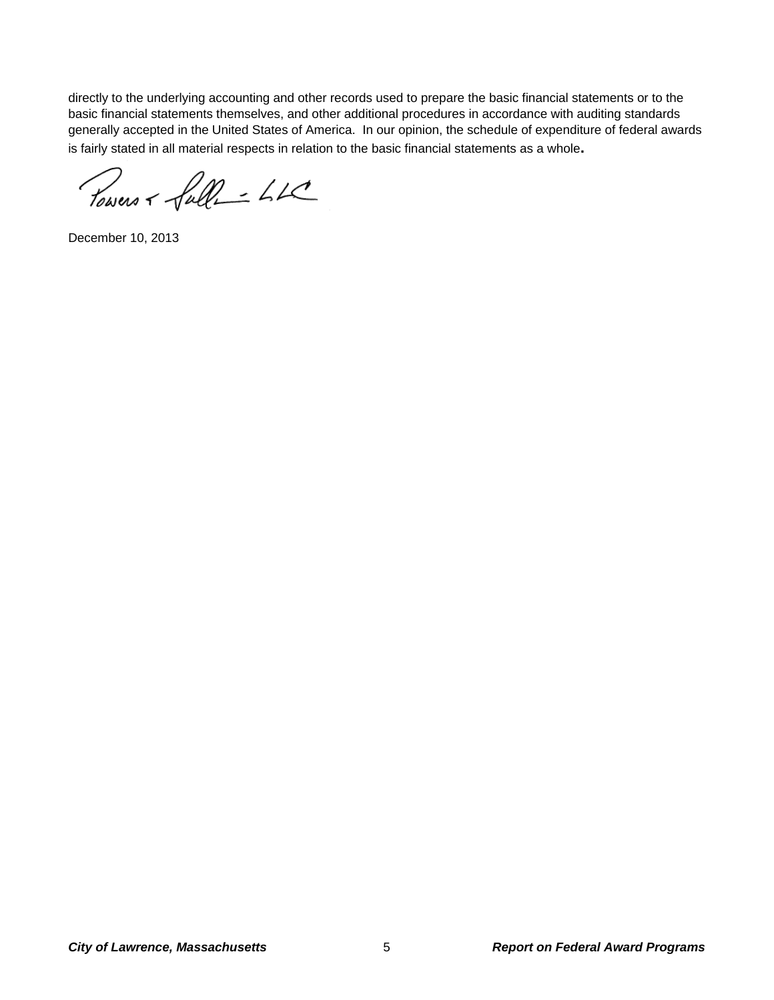directly to the underlying accounting and other records used to prepare the basic financial statements or to the basic financial statements themselves, and other additional procedures in accordance with auditing standards generally accepted in the United States of America. In our opinion, the schedule of expenditure of federal awards is fairly stated in all material respects in relation to the basic financial statements as a whole**.**

Powers + full- LLC

December 10, 2013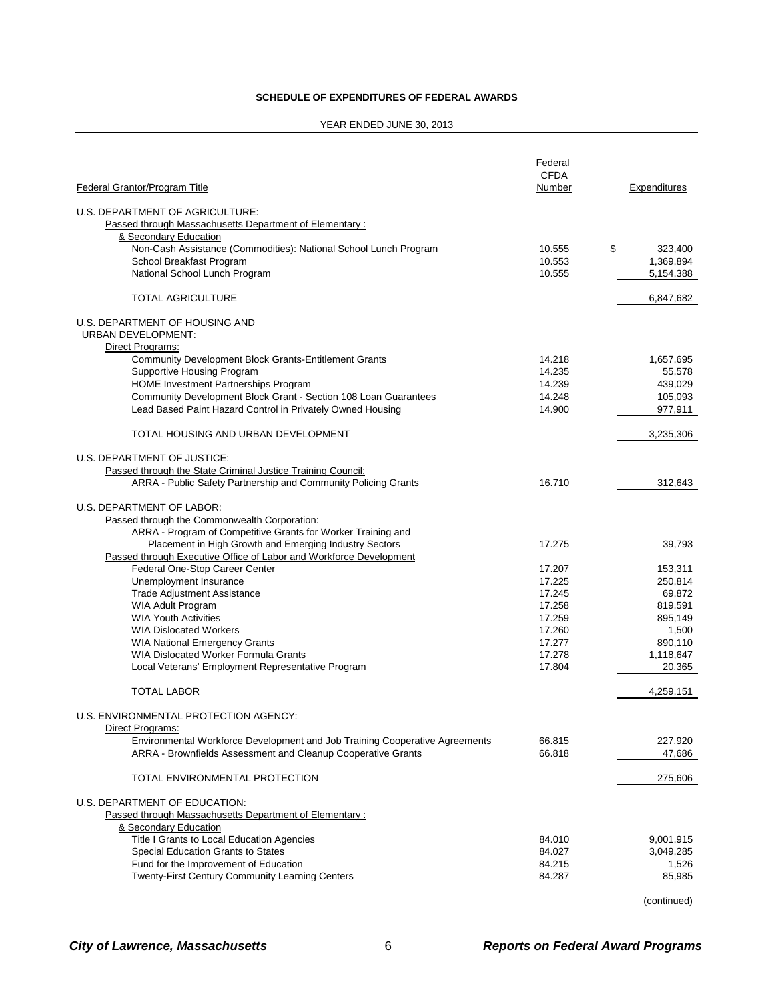#### **SCHEDULE OF EXPENDITURES OF FEDERAL AWARDS**

#### YEAR ENDED JUNE 30, 2013

|                                                                                                                                                                                                                                                                                                                                        | Federal<br><b>CFDA</b>                                                                 |                                                                                               |
|----------------------------------------------------------------------------------------------------------------------------------------------------------------------------------------------------------------------------------------------------------------------------------------------------------------------------------------|----------------------------------------------------------------------------------------|-----------------------------------------------------------------------------------------------|
| Federal Grantor/Program Title                                                                                                                                                                                                                                                                                                          | Number                                                                                 | Expenditures                                                                                  |
| U.S. DEPARTMENT OF AGRICULTURE:<br>Passed through Massachusetts Department of Elementary:<br>& Secondary Education                                                                                                                                                                                                                     |                                                                                        |                                                                                               |
| Non-Cash Assistance (Commodities): National School Lunch Program<br>School Breakfast Program<br>National School Lunch Program                                                                                                                                                                                                          | 10.555<br>10.553<br>10.555                                                             | \$<br>323,400<br>1,369,894<br>5,154,388                                                       |
| <b>TOTAL AGRICULTURE</b>                                                                                                                                                                                                                                                                                                               |                                                                                        | 6,847,682                                                                                     |
| U.S. DEPARTMENT OF HOUSING AND<br><b>URBAN DEVELOPMENT:</b><br>Direct Programs:                                                                                                                                                                                                                                                        |                                                                                        |                                                                                               |
| Community Development Block Grants-Entitlement Grants<br><b>Supportive Housing Program</b><br><b>HOME Investment Partnerships Program</b><br>Community Development Block Grant - Section 108 Loan Guarantees<br>Lead Based Paint Hazard Control in Privately Owned Housing                                                             | 14.218<br>14.235<br>14.239<br>14.248<br>14.900                                         | 1,657,695<br>55,578<br>439,029<br>105,093<br>977,911                                          |
| TOTAL HOUSING AND URBAN DEVELOPMENT                                                                                                                                                                                                                                                                                                    |                                                                                        | 3,235,306                                                                                     |
| U.S. DEPARTMENT OF JUSTICE:<br>Passed through the State Criminal Justice Training Council:                                                                                                                                                                                                                                             |                                                                                        |                                                                                               |
| ARRA - Public Safety Partnership and Community Policing Grants                                                                                                                                                                                                                                                                         | 16.710                                                                                 | 312,643                                                                                       |
| U.S. DEPARTMENT OF LABOR:<br>Passed through the Commonwealth Corporation:<br>ARRA - Program of Competitive Grants for Worker Training and                                                                                                                                                                                              |                                                                                        |                                                                                               |
| Placement in High Growth and Emerging Industry Sectors<br>Passed through Executive Office of Labor and Workforce Development                                                                                                                                                                                                           | 17.275                                                                                 | 39,793                                                                                        |
| Federal One-Stop Career Center<br>Unemployment Insurance<br><b>Trade Adjustment Assistance</b><br><b>WIA Adult Program</b><br><b>WIA Youth Activities</b><br><b>WIA Dislocated Workers</b><br><b>WIA National Emergency Grants</b><br><b>WIA Dislocated Worker Formula Grants</b><br>Local Veterans' Employment Representative Program | 17.207<br>17.225<br>17.245<br>17.258<br>17.259<br>17.260<br>17.277<br>17.278<br>17.804 | 153,311<br>250,814<br>69,872<br>819,591<br>895,149<br>1,500<br>890,110<br>1,118,647<br>20,365 |
| <b>TOTAL LABOR</b>                                                                                                                                                                                                                                                                                                                     |                                                                                        | 4,259,151                                                                                     |
| U.S. ENVIRONMENTAL PROTECTION AGENCY:<br>Direct Programs:<br>Environmental Workforce Development and Job Training Cooperative Agreements                                                                                                                                                                                               | 66.815                                                                                 | 227,920                                                                                       |
| ARRA - Brownfields Assessment and Cleanup Cooperative Grants                                                                                                                                                                                                                                                                           | 66.818                                                                                 | 47,686                                                                                        |
| TOTAL ENVIRONMENTAL PROTECTION                                                                                                                                                                                                                                                                                                         |                                                                                        | 275,606                                                                                       |
| U.S. DEPARTMENT OF EDUCATION:<br>Passed through Massachusetts Department of Elementary:<br>& Secondary Education                                                                                                                                                                                                                       |                                                                                        |                                                                                               |
| Title I Grants to Local Education Agencies<br>Special Education Grants to States<br>Fund for the Improvement of Education<br>Twenty-First Century Community Learning Centers                                                                                                                                                           | 84.010<br>84.027<br>84.215<br>84.287                                                   | 9,001,915<br>3,049,285<br>1,526<br>85,985                                                     |

(continued)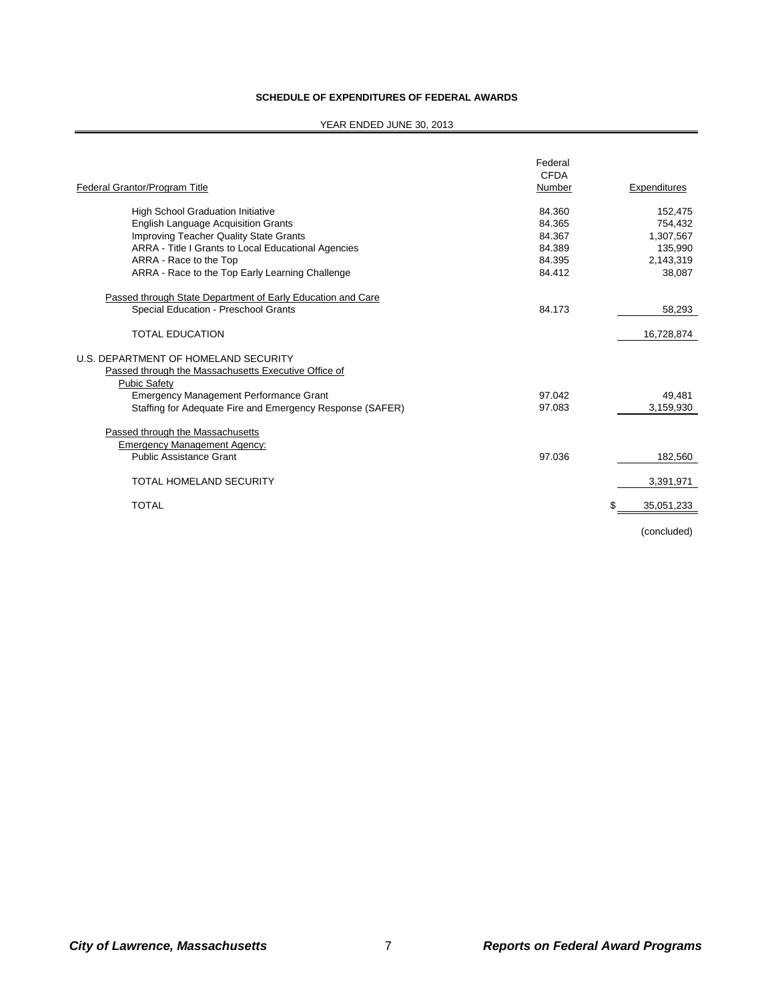#### **SCHEDULE OF EXPENDITURES OF FEDERAL AWARDS**

#### YEAR ENDED JUNE 30, 2013

| Federal Grantor/Program Title                               | Federal<br><b>CFDA</b><br>Number | Expenditures      |
|-------------------------------------------------------------|----------------------------------|-------------------|
| <b>High School Graduation Initiative</b>                    | 84.360                           | 152,475           |
| <b>English Language Acquisition Grants</b>                  | 84.365                           | 754.432           |
| <b>Improving Teacher Quality State Grants</b>               | 84.367                           | 1,307,567         |
| ARRA - Title I Grants to Local Educational Agencies         | 84.389                           | 135,990           |
| ARRA - Race to the Top                                      | 84.395                           | 2,143,319         |
| ARRA - Race to the Top Early Learning Challenge             | 84.412                           | 38,087            |
| Passed through State Department of Early Education and Care |                                  |                   |
| Special Education - Preschool Grants                        | 84.173                           | 58,293            |
| <b>TOTAL EDUCATION</b>                                      |                                  | 16,728,874        |
| U.S. DEPARTMENT OF HOMELAND SECURITY                        |                                  |                   |
| Passed through the Massachusetts Executive Office of        |                                  |                   |
| <b>Pubic Safety</b>                                         |                                  |                   |
| Emergency Management Performance Grant                      | 97.042                           | 49,481            |
| Staffing for Adequate Fire and Emergency Response (SAFER)   | 97.083                           | 3,159,930         |
| Passed through the Massachusetts                            |                                  |                   |
| <b>Emergency Management Agency:</b>                         |                                  |                   |
| <b>Public Assistance Grant</b>                              | 97.036                           | 182,560           |
| <b>TOTAL HOMELAND SECURITY</b>                              |                                  | 3,391,971         |
| <b>TOTAL</b>                                                |                                  | \$.<br>35,051,233 |
|                                                             |                                  | (concluded)       |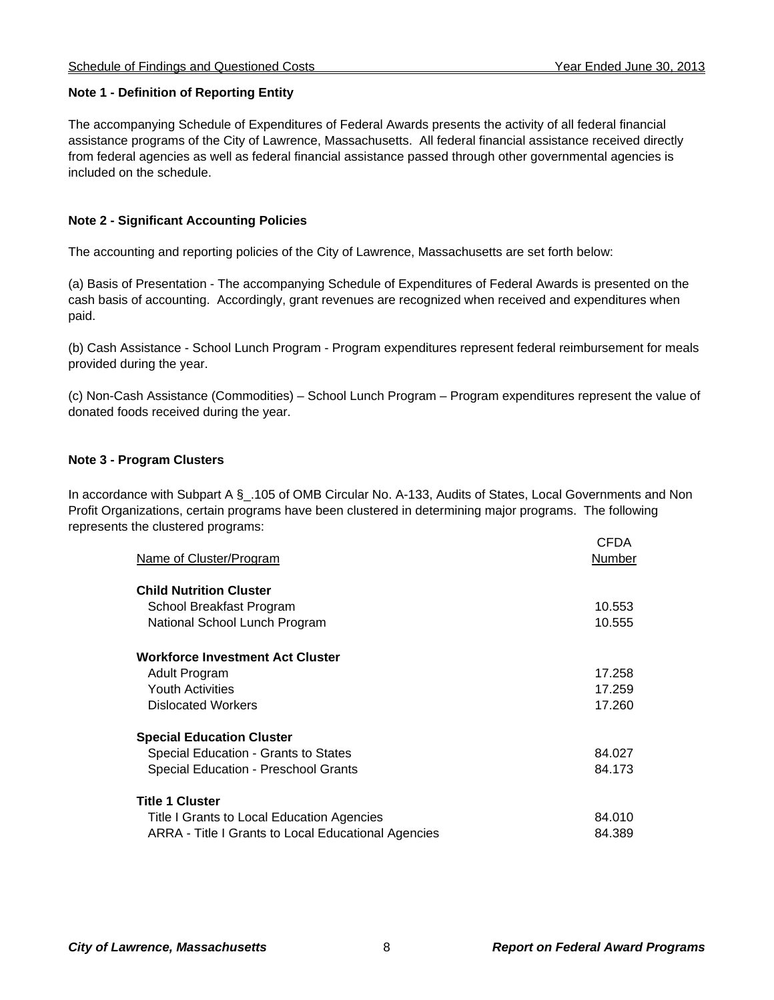#### **Note 1 - Definition of Reporting Entity**

The accompanying Schedule of Expenditures of Federal Awards presents the activity of all federal financial assistance programs of the City of Lawrence, Massachusetts. All federal financial assistance received directly from federal agencies as well as federal financial assistance passed through other governmental agencies is included on the schedule.

## **Note 2 - Significant Accounting Policies**

The accounting and reporting policies of the City of Lawrence, Massachusetts are set forth below:

(a) Basis of Presentation - The accompanying Schedule of Expenditures of Federal Awards is presented on the cash basis of accounting. Accordingly, grant revenues are recognized when received and expenditures when paid.

(b) Cash Assistance - School Lunch Program - Program expenditures represent federal reimbursement for meals provided during the year.

(c) Non-Cash Assistance (Commodities) – School Lunch Program – Program expenditures represent the value of donated foods received during the year.

## **Note 3 - Program Clusters**

In accordance with Subpart A § .105 of OMB Circular No. A-133, Audits of States, Local Governments and Non Profit Organizations, certain programs have been clustered in determining major programs. The following represents the clustered programs:

| Name of Cluster/Program                             | <b>CFDA</b><br>Number |
|-----------------------------------------------------|-----------------------|
| <b>Child Nutrition Cluster</b>                      |                       |
| School Breakfast Program                            | 10.553                |
| National School Lunch Program                       | 10.555                |
| <b>Workforce Investment Act Cluster</b>             |                       |
| Adult Program                                       | 17.258                |
| <b>Youth Activities</b>                             | 17.259                |
| <b>Dislocated Workers</b>                           | 17.260                |
| <b>Special Education Cluster</b>                    |                       |
| Special Education - Grants to States                | 84.027                |
| Special Education - Preschool Grants                | 84.173                |
| <b>Title 1 Cluster</b>                              |                       |
| Title I Grants to Local Education Agencies          | 84.010                |
| ARRA - Title I Grants to Local Educational Agencies | 84.389                |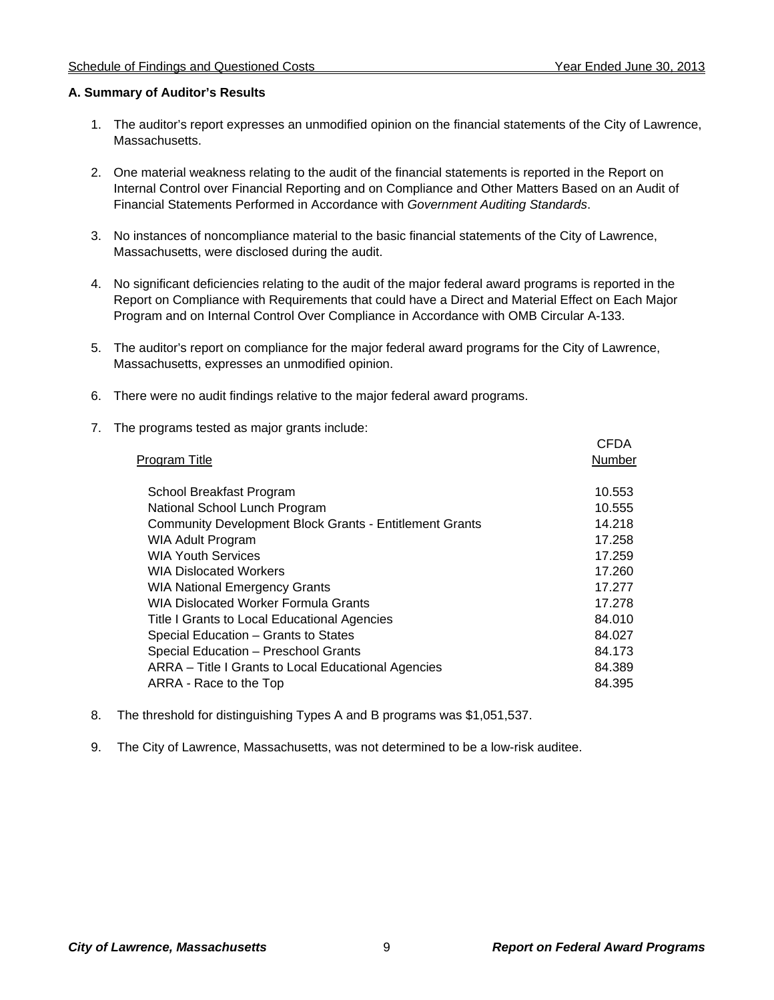#### **A. Summary of Auditor's Results**

- 1. The auditor's report expresses an unmodified opinion on the financial statements of the City of Lawrence, Massachusetts.
- 2. One material weakness relating to the audit of the financial statements is reported in the Report on Internal Control over Financial Reporting and on Compliance and Other Matters Based on an Audit of Financial Statements Performed in Accordance with *Government Auditing Standards*.
- 3. No instances of noncompliance material to the basic financial statements of the City of Lawrence, Massachusetts, were disclosed during the audit.
- 4. No significant deficiencies relating to the audit of the major federal award programs is reported in the Report on Compliance with Requirements that could have a Direct and Material Effect on Each Major Program and on Internal Control Over Compliance in Accordance with OMB Circular A-133.
- 5. The auditor's report on compliance for the major federal award programs for the City of Lawrence, Massachusetts, expresses an unmodified opinion.
- 6. There were no audit findings relative to the major federal award programs.
- 7. The programs tested as major grants include:

| <b>Program Title</b>                                           | <b>CFDA</b><br>Number |
|----------------------------------------------------------------|-----------------------|
| School Breakfast Program                                       | 10.553                |
| National School Lunch Program                                  | 10.555                |
| <b>Community Development Block Grants - Entitlement Grants</b> | 14.218                |
| <b>WIA Adult Program</b>                                       | 17.258                |
| <b>WIA Youth Services</b>                                      | 17.259                |
| <b>WIA Dislocated Workers</b>                                  | 17.260                |
| <b>WIA National Emergency Grants</b>                           | 17.277                |
| <b>WIA Dislocated Worker Formula Grants</b>                    | 17.278                |
| Title I Grants to Local Educational Agencies                   | 84.010                |
| Special Education - Grants to States                           | 84.027                |
| Special Education - Preschool Grants                           | 84.173                |
| ARRA - Title I Grants to Local Educational Agencies            | 84.389                |
| ARRA - Race to the Top                                         | 84.395                |
|                                                                |                       |

- 8. The threshold for distinguishing Types A and B programs was \$1,051,537.
- 9. The City of Lawrence, Massachusetts, was not determined to be a low-risk auditee.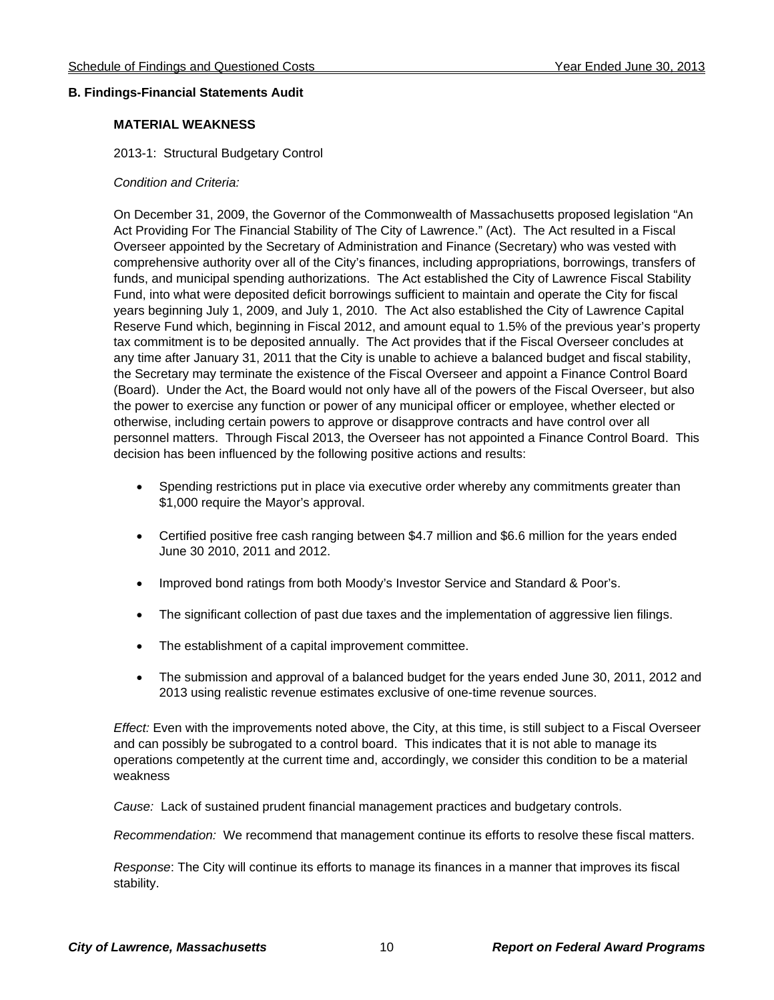#### **B. Findings-Financial Statements Audit**

#### **MATERIAL WEAKNESS**

2013-1: Structural Budgetary Control

#### *Condition and Criteria:*

On December 31, 2009, the Governor of the Commonwealth of Massachusetts proposed legislation "An Act Providing For The Financial Stability of The City of Lawrence." (Act). The Act resulted in a Fiscal Overseer appointed by the Secretary of Administration and Finance (Secretary) who was vested with comprehensive authority over all of the City's finances, including appropriations, borrowings, transfers of funds, and municipal spending authorizations. The Act established the City of Lawrence Fiscal Stability Fund, into what were deposited deficit borrowings sufficient to maintain and operate the City for fiscal years beginning July 1, 2009, and July 1, 2010. The Act also established the City of Lawrence Capital Reserve Fund which, beginning in Fiscal 2012, and amount equal to 1.5% of the previous year's property tax commitment is to be deposited annually. The Act provides that if the Fiscal Overseer concludes at any time after January 31, 2011 that the City is unable to achieve a balanced budget and fiscal stability, the Secretary may terminate the existence of the Fiscal Overseer and appoint a Finance Control Board (Board). Under the Act, the Board would not only have all of the powers of the Fiscal Overseer, but also the power to exercise any function or power of any municipal officer or employee, whether elected or otherwise, including certain powers to approve or disapprove contracts and have control over all personnel matters. Through Fiscal 2013, the Overseer has not appointed a Finance Control Board. This decision has been influenced by the following positive actions and results:

- Spending restrictions put in place via executive order whereby any commitments greater than \$1,000 require the Mayor's approval.
- Certified positive free cash ranging between \$4.7 million and \$6.6 million for the years ended June 30 2010, 2011 and 2012.
- Improved bond ratings from both Moody's Investor Service and Standard & Poor's.
- The significant collection of past due taxes and the implementation of aggressive lien filings.
- The establishment of a capital improvement committee.
- The submission and approval of a balanced budget for the years ended June 30, 2011, 2012 and 2013 using realistic revenue estimates exclusive of one-time revenue sources.

*Effect:* Even with the improvements noted above, the City, at this time, is still subject to a Fiscal Overseer and can possibly be subrogated to a control board. This indicates that it is not able to manage its operations competently at the current time and, accordingly, we consider this condition to be a material weakness

*Cause:* Lack of sustained prudent financial management practices and budgetary controls.

*Recommendation:* We recommend that management continue its efforts to resolve these fiscal matters.

*Response*: The City will continue its efforts to manage its finances in a manner that improves its fiscal stability.